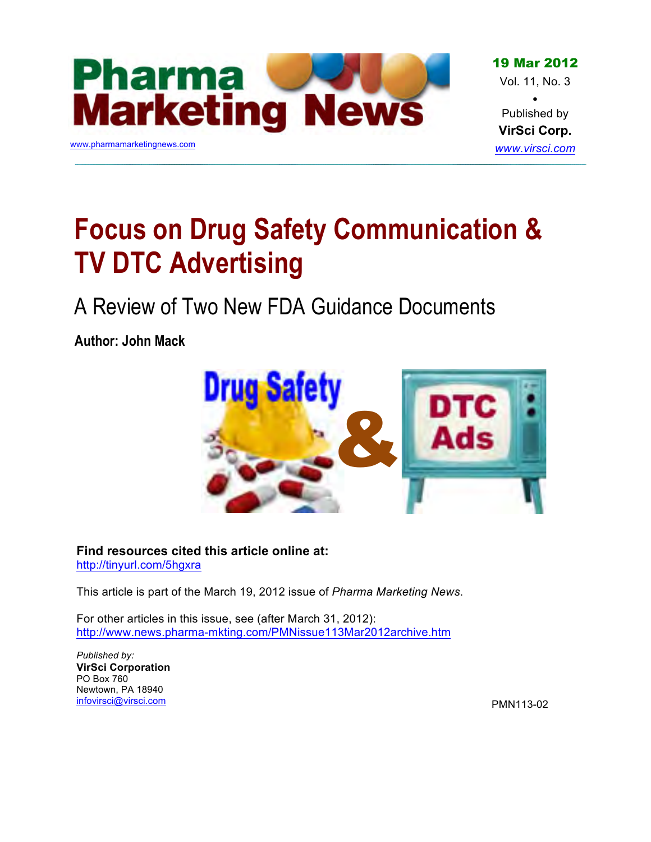

19 Mar 2012 Vol. 11, No. 3 •

Published by **VirSci Corp.** *www.virsci.com*

# **Focus on Drug Safety Communication & TV DTC Advertising**

A Review of Two New FDA Guidance Documents

**Author: John Mack**



**[Find resources cited this article online at:](http://tinyurl.com/5hgxra)** http://tinyurl.com/5hgxra

This article is part of the March 19, 2012 issue of *Pharma Marketing News*.

For other articles in this issue, see (after March 31, 2012): <http://www.news.pharma-mkting.com/PMNissue113Mar2012archive.htm>

*Published by:* **VirSci Corporation** PO Box 760 Newtown, PA 18940 infovirsci@virsci.com

PMN113-02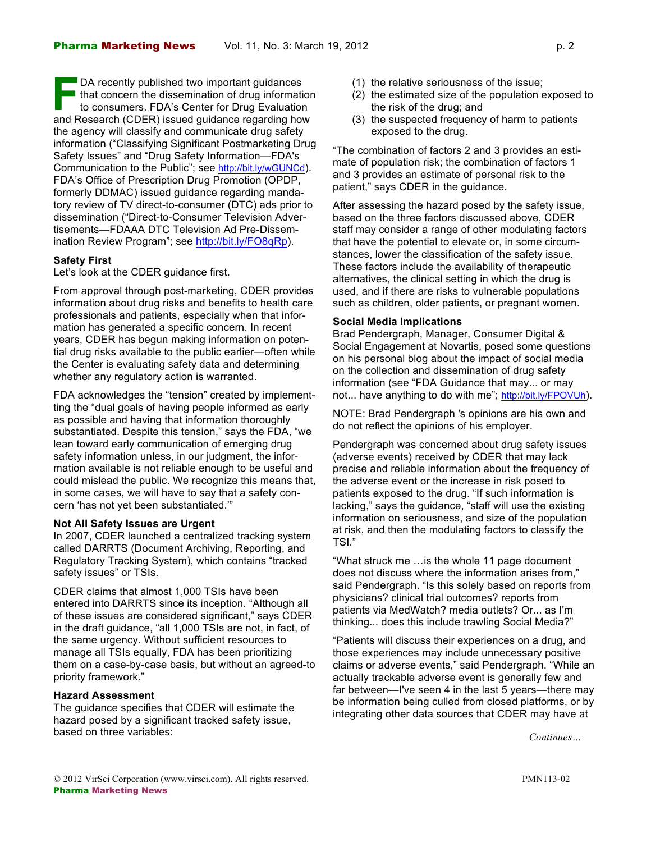DA recently published two important guidances I that concern the dissemination of drug information to consumers. FDA's Center for Drug Evaluation **Example 15 DA recently published two important guidances**<br>that concern the dissemination of drug information<br>to consumers. FDA's Center for Drug Evaluation<br>and Research (CDER) issued guidance regarding how the agency will classify and communicate drug safety information ("Classifying Significant Postmarketing Drug Safety Issues" and "Drug Safety Information—FDA's Communication to the Public"[; see http://bit.ly/wGUNCd\).](http://bit.ly/wGUNCd) FDA's Office of Prescription Drug Promotion (OPDP, formerly DDMAC) issued guidance regarding mandatory review of TV direct-to-consumer (DTC) ads prior to dissemination ("Direct-to-Consumer Television Advertisements—FDAAA DTC Television Ad Pre-Dissemination Review Program["; see http://bit.ly/FO8qRp\).](http://bit.ly/FO8qRp)

## **Safety First**

Let's look at the CDER guidance first.

From approval through post-marketing, CDER provides information about drug risks and benefits to health care professionals and patients, especially when that information has generated a specific concern. In recent years, CDER has begun making information on potential drug risks available to the public earlier—often while the Center is evaluating safety data and determining whether any regulatory action is warranted.

FDA acknowledges the "tension" created by implementting the "dual goals of having people informed as early as possible and having that information thoroughly substantiated. Despite this tension," says the FDA, "we lean toward early communication of emerging drug safety information unless, in our judgment, the information available is not reliable enough to be useful and could mislead the public. We recognize this means that, in some cases, we will have to say that a safety concern 'has not yet been substantiated.'"

## **Not All Safety Issues are Urgent**

In 2007, CDER launched a centralized tracking system called DARRTS (Document Archiving, Reporting, and Regulatory Tracking System), which contains "tracked safety issues" or TSIs.

CDER claims that almost 1,000 TSIs have been entered into DARRTS since its inception. "Although all of these issues are considered significant," says CDER in the draft guidance, "all 1,000 TSIs are not, in fact, of the same urgency. Without sufficient resources to manage all TSIs equally, FDA has been prioritizing them on a case-by-case basis, but without an agreed-to priority framework."

## **Hazard Assessment**

The guidance specifies that CDER will estimate the hazard posed by a significant tracked safety issue, based on three variables:

- (1) the relative seriousness of the issue;
- (2) the estimated size of the population exposed to the risk of the drug; and
- (3) the suspected frequency of harm to patients exposed to the drug.

"The combination of factors 2 and 3 provides an estimate of population risk; the combination of factors 1 and 3 provides an estimate of personal risk to the patient," says CDER in the guidance.

After assessing the hazard posed by the safety issue, based on the three factors discussed above, CDER staff may consider a range of other modulating factors that have the potential to elevate or, in some circumstances, lower the classification of the safety issue. These factors include the availability of therapeutic alternatives, the clinical setting in which the drug is used, and if there are risks to vulnerable populations such as children, older patients, or pregnant women.

#### **Social Media Implications**

Brad Pendergraph, Manager, Consumer Digital & Social Engagement at Novartis, posed some questions on his personal blog about the impact of social media on the collection and dissemination of drug safety information (see "FDA Guidance that may... or may [not... have anything to do with me"; http://bit.ly/FPOVUh\).](http://bit.ly/FPOVUh)

NOTE: Brad Pendergraph 's opinions are his own and do not reflect the opinions of his employer.

Pendergraph was concerned about drug safety issues (adverse events) received by CDER that may lack precise and reliable information about the frequency of the adverse event or the increase in risk posed to patients exposed to the drug. "If such information is lacking," says the guidance, "staff will use the existing information on seriousness, and size of the population at risk, and then the modulating factors to classify the TSI."

"What struck me …is the whole 11 page document does not discuss where the information arises from," said Pendergraph. "Is this solely based on reports from physicians? clinical trial outcomes? reports from patients via MedWatch? media outlets? Or... as I'm thinking... does this include trawling Social Media?"

"Patients will discuss their experiences on a drug, and those experiences may include unnecessary positive claims or adverse events," said Pendergraph. "While an actually trackable adverse event is generally few and far between—I've seen 4 in the last 5 years—there may be information being culled from closed platforms, or by integrating other data sources that CDER may have at

*Continues…*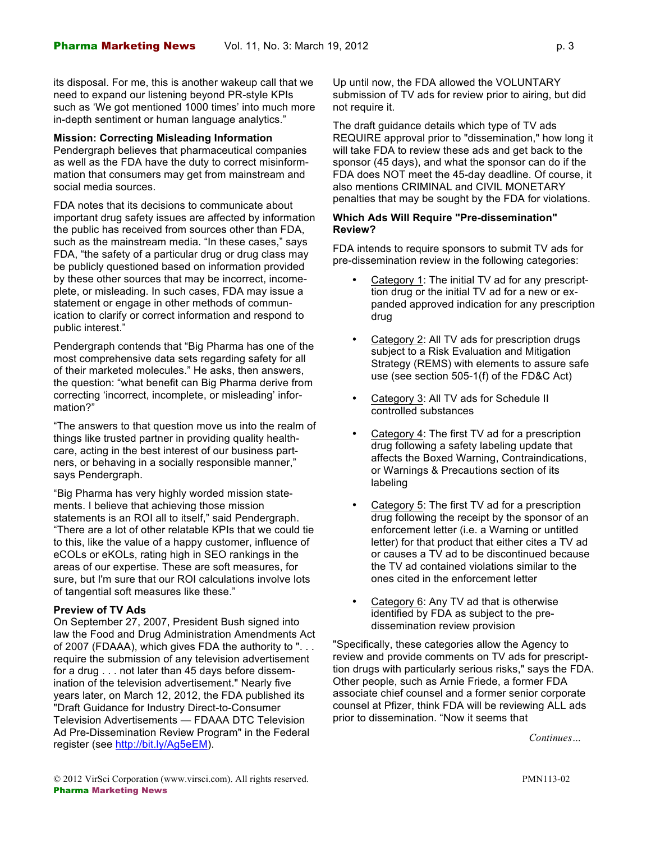its disposal. For me, this is another wakeup call that we need to expand our listening beyond PR-style KPIs such as 'We got mentioned 1000 times' into much more in-depth sentiment or human language analytics."

## **Mission: Correcting Misleading Information**

Pendergraph believes that pharmaceutical companies as well as the FDA have the duty to correct misinformmation that consumers may get from mainstream and social media sources.

FDA notes that its decisions to communicate about important drug safety issues are affected by information the public has received from sources other than FDA, such as the mainstream media. "In these cases," says FDA, "the safety of a particular drug or drug class may be publicly questioned based on information provided by these other sources that may be incorrect, incomeplete, or misleading. In such cases, FDA may issue a statement or engage in other methods of communication to clarify or correct information and respond to public interest."

Pendergraph contends that "Big Pharma has one of the most comprehensive data sets regarding safety for all of their marketed molecules." He asks, then answers, the question: "what benefit can Big Pharma derive from correcting 'incorrect, incomplete, or misleading' information?"

"The answers to that question move us into the realm of things like trusted partner in providing quality healthcare, acting in the best interest of our business partners, or behaving in a socially responsible manner," says Pendergraph.

"Big Pharma has very highly worded mission statements. I believe that achieving those mission statements is an ROI all to itself," said Pendergraph. "There are a lot of other relatable KPIs that we could tie to this, like the value of a happy customer, influence of eCOLs or eKOLs, rating high in SEO rankings in the areas of our expertise. These are soft measures, for sure, but I'm sure that our ROI calculations involve lots of tangential soft measures like these."

## **Preview of TV Ads**

On September 27, 2007, President Bush signed into law the Food and Drug Administration Amendments Act of 2007 (FDAAA), which gives FDA the authority to ". . . require the submission of any television advertisement for a drug . . . not later than 45 days before dissemination of the television advertisement." Nearly five years later, on March 12, 2012, the FDA published its "Draft Guidance for Industry Direct-to-Consumer Television Advertisements — FDAAA DTC Television Ad Pre-Dissemination Review Program" in the Federal registe[r \(see http://bit.ly/Ag5eEM\).](http://bit.ly/Ag5eEM)

Up until now, the FDA allowed the VOLUNTARY submission of TV ads for review prior to airing, but did not require it.

The draft guidance details which type of TV ads REQUIRE approval prior to "dissemination," how long it will take FDA to review these ads and get back to the sponsor (45 days), and what the sponsor can do if the FDA does NOT meet the 45-day deadline. Of course, it also mentions CRIMINAL and CIVIL MONETARY penalties that may be sought by the FDA for violations.

## **Which Ads Will Require "Pre-dissemination" Review?**

FDA intends to require sponsors to submit TV ads for pre-dissemination review in the following categories:

- Category 1: The initial TV ad for any prescripttion drug or the initial TV ad for a new or expanded approved indication for any prescription drug
- Category 2: All TV ads for prescription drugs subject to a Risk Evaluation and Mitigation Strategy (REMS) with elements to assure safe use (see section 505-1(f) of the FD&C Act)
- Category 3: All TV ads for Schedule II controlled substances
- Category 4: The first TV ad for a prescription drug following a safety labeling update that affects the Boxed Warning, Contraindications, or Warnings & Precautions section of its labeling
- Category 5: The first TV ad for a prescription drug following the receipt by the sponsor of an enforcement letter (i.e. a Warning or untitled letter) for that product that either cites a TV ad or causes a TV ad to be discontinued because the TV ad contained violations similar to the ones cited in the enforcement letter
- Category 6: Any TV ad that is otherwise identified by FDA as subject to the predissemination review provision

"Specifically, these categories allow the Agency to review and provide comments on TV ads for prescripttion drugs with particularly serious risks," says the FDA. Other people, such as Arnie Friede, a former FDA associate chief counsel and a former senior corporate counsel at Pfizer, think FDA will be reviewing ALL ads prior to dissemination. "Now it seems that

*Continues…*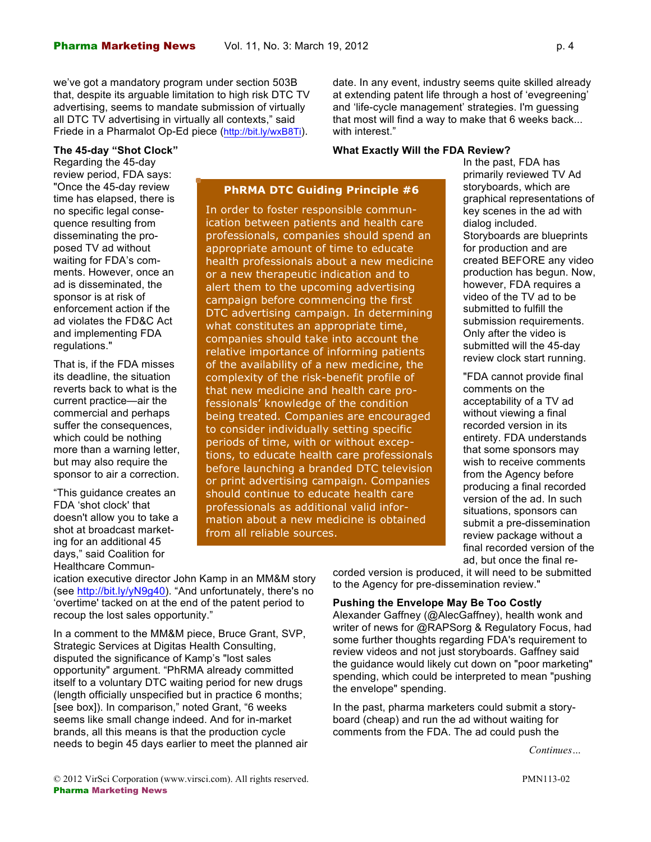## **The 45-day "Shot Clock"**

Regarding the 45-day review period, FDA says: "Once the 45-day review time has elapsed, there is no specific legal consequence resulting from disseminating the proposed TV ad without waiting for FDA's comments. However, once an ad is disseminated, the sponsor is at risk of enforcement action if the ad violates the FD&C Act and implementing FDA regulations."

That is, if the FDA misses its deadline, the situation reverts back to what is the current practice—air the commercial and perhaps suffer the consequences, which could be nothing more than a warning letter, but may also require the sponsor to air a correction.

"This guidance creates an FDA 'shot clock' that doesn't allow you to take a shot at broadcast marketing for an additional 45 days," said Coalition for Healthcare Commun**PhRMA DTC Guiding Principle #6**

In order to foster responsible communication between patients and health care professionals, companies should spend an appropriate amount of time to educate health professionals about a new medicine or a new therapeutic indication and to alert them to the upcoming advertising campaign before commencing the first DTC advertising campaign. In determining what constitutes an appropriate time, companies should take into account the relative importance of informing patients of the availability of a new medicine, the complexity of the risk-benefit profile of that new medicine and health care professionals' knowledge of the condition being treated. Companies are encouraged to consider individually setting specific periods of time, with or without exceptions, to educate health care professionals before launching a branded DTC television or print advertising campaign. Companies should continue to educate health care professionals as additional valid information about a new medicine is obtained from all reliable sources.

date. In any event, industry seems quite skilled already at extending patent life through a host of 'evegreening' and 'life-cycle management' strategies. I'm guessing that most will find a way to make that 6 weeks back... with interest."

#### **What Exactly Will the FDA Review?**

In the past, FDA has primarily reviewed TV Ad storyboards, which are graphical representations of key scenes in the ad with dialog included. Storyboards are blueprints for production and are created BEFORE any video production has begun. Now, however, FDA requires a video of the TV ad to be submitted to fulfill the submission requirements. Only after the video is submitted will the 45-day review clock start running.

"FDA cannot provide final comments on the acceptability of a TV ad without viewing a final recorded version in its entirety. FDA understands that some sponsors may wish to receive comments from the Agency before producing a final recorded version of the ad. In such situations, sponsors can submit a pre-dissemination review package without a final recorded version of the ad, but once the final re-

ication executive director John Kamp in an MM&M story [\(see http://bit.ly/yN9g40\).](http://bit.ly/yN9g40) "And unfortunately, there's no 'overtime' tacked on at the end of the patent period to recoup the lost sales opportunity."

In a comment to the MM&M piece, Bruce Grant, SVP, Strategic Services at Digitas Health Consulting, disputed the significance of Kamp's "lost sales opportunity" argument. "PhRMA already committed itself to a voluntary DTC waiting period for new drugs (length officially unspecified but in practice 6 months; [see box]). In comparison," noted Grant, "6 weeks seems like small change indeed. And for in-market brands, all this means is that the production cycle needs to begin 45 days earlier to meet the planned air corded version is produced, it will need to be submitted to the Agency for pre-dissemination review."

## **Pushing the Envelope May Be Too Costly**

Alexander Gaffney (@AlecGaffney), health wonk and writer of news for @RAPSorg & Regulatory Focus, had some further thoughts regarding FDA's requirement to review videos and not just storyboards. Gaffney said the guidance would likely cut down on "poor marketing" spending, which could be interpreted to mean "pushing the envelope" spending.

In the past, pharma marketers could submit a storyboard (cheap) and run the ad without waiting for comments from the FDA. The ad could push the

*Continues…*